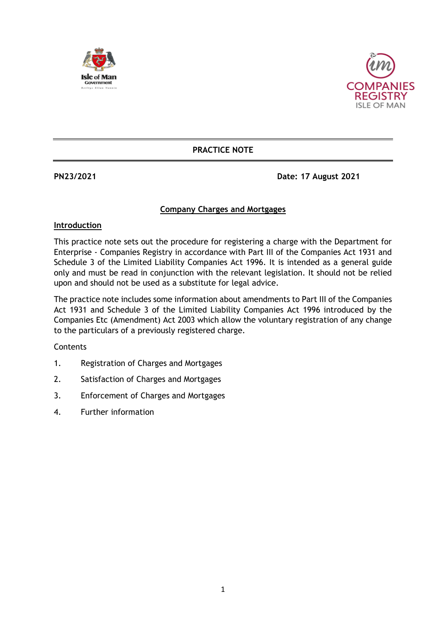



## **PRACTICE NOTE**

**PN23/2021 Date: 17 August 2021**

## **Company Charges and Mortgages**

#### **Introduction**

This practice note sets out the procedure for registering a charge with the Department for Enterprise - Companies Registry in accordance with Part III of the Companies Act 1931 and Schedule 3 of the Limited Liability Companies Act 1996. It is intended as a general guide only and must be read in conjunction with the relevant legislation. It should not be relied upon and should not be used as a substitute for legal advice.

The practice note includes some information about amendments to Part III of the Companies Act 1931 and Schedule 3 of the Limited Liability Companies Act 1996 introduced by the Companies Etc (Amendment) Act 2003 which allow the voluntary registration of any change to the particulars of a previously registered charge.

**Contents** 

- 1. Registration of Charges and Mortgages
- 2. Satisfaction of Charges and Mortgages
- 3. Enforcement of Charges and Mortgages
- 4. Further information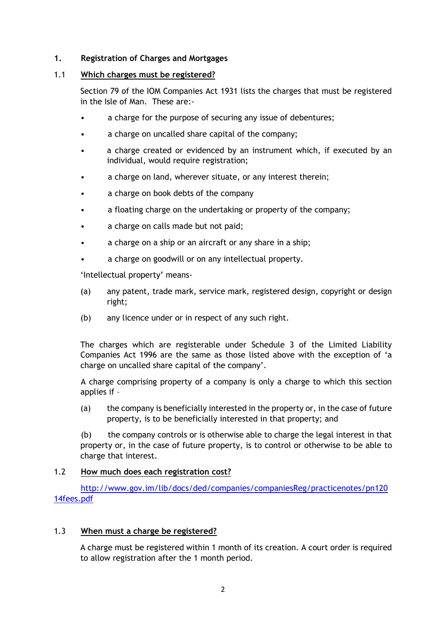## **1. Registration of Charges and Mortgages**

#### 1.1 **Which charges must be registered?**

Section 79 of the IOM Companies Act 1931 lists the charges that must be registered in the Isle of Man. These are:-

- a charge for the purpose of securing any issue of debentures;
- a charge on uncalled share capital of the company;
- a charge created or evidenced by an instrument which, if executed by an individual, would require registration;
- a charge on land, wherever situate, or any interest therein;
- a charge on book debts of the company
- a floating charge on the undertaking or property of the company;
- a charge on calls made but not paid;
- a charge on a ship or an aircraft or any share in a ship;
- a charge on goodwill or on any intellectual property.

'Intellectual property' means-

- (a) any patent, trade mark, service mark, registered design, copyright or design right;
- (b) any licence under or in respect of any such right.

The charges which are registerable under Schedule 3 of the Limited Liability Companies Act 1996 are the same as those listed above with the exception of 'a charge on uncalled share capital of the company'.

A charge comprising property of a company is only a charge to which this section applies if –

(a) the company is beneficially interested in the property or, in the case of future property, is to be beneficially interested in that property; and

(b) the company controls or is otherwise able to charge the legal interest in that property or, in the case of future property, is to control or otherwise to be able to charge that interest.

#### 1.2 **How much does each registration cost?**

[http://www.gov.im/lib/docs/ded/companies/companiesReg/practicenotes/pn120](http://www.gov.im/lib/docs/ded/companies/companiesReg/practicenotes/pn12014fees.pdf) [14fees.pdf](http://www.gov.im/lib/docs/ded/companies/companiesReg/practicenotes/pn12014fees.pdf)

#### 1.3 **When must a charge be registered?**

A charge must be registered within 1 month of its creation. A court order is required to allow registration after the 1 month period.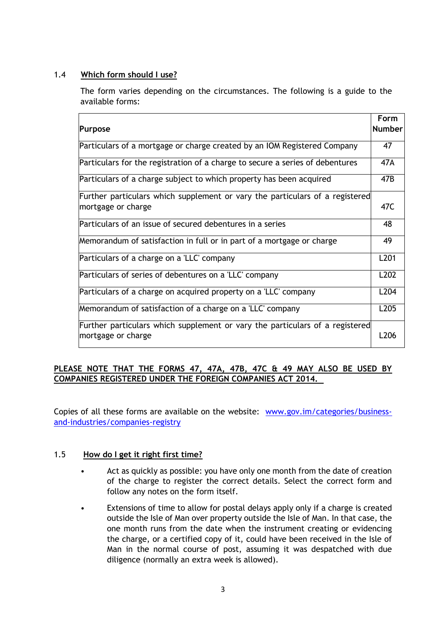# 1.4 **Which form should I use?**

The form varies depending on the circumstances. The following is a guide to the available forms:

| Purpose                                                                                            | Form<br>Number   |
|----------------------------------------------------------------------------------------------------|------------------|
| Particulars of a mortgage or charge created by an IOM Registered Company                           | 47               |
| Particulars for the registration of a charge to secure a series of debentures                      | 47A              |
| Particulars of a charge subject to which property has been acquired                                | 47B              |
| Further particulars which supplement or vary the particulars of a registered<br>mortgage or charge | 47C              |
| Particulars of an issue of secured debentures in a series                                          | 48               |
| Memorandum of satisfaction in full or in part of a mortgage or charge                              | 49               |
| Particulars of a charge on a 'LLC' company                                                         | L <sub>201</sub> |
| Particulars of series of debentures on a 'LLC' company                                             | L202             |
| Particulars of a charge on acquired property on a 'LLC' company                                    | L <sub>204</sub> |
| Memorandum of satisfaction of a charge on a 'LLC' company                                          | L <sub>205</sub> |
| Further particulars which supplement or vary the particulars of a registered<br>mortgage or charge | L206             |

# **PLEASE NOTE THAT THE FORMS 47, 47A, 47B, 47C & 49 MAY ALSO BE USED BY COMPANIES REGISTERED UNDER THE FOREIGN COMPANIES ACT 2014.**

Copies of all these forms are available on the website: [www.gov.im/categories/business](http://www.gov.im/categories/business-and-industries/companies-registry)[and-industries/companies-registry](http://www.gov.im/categories/business-and-industries/companies-registry)

# 1.5 **How do I get it right first time?**

- Act as quickly as possible: you have only one month from the date of creation of the charge to register the correct details. Select the correct form and follow any notes on the form itself.
- Extensions of time to allow for postal delays apply only if a charge is created outside the Isle of Man over property outside the Isle of Man. In that case, the one month runs from the date when the instrument creating or evidencing the charge, or a certified copy of it, could have been received in the Isle of Man in the normal course of post, assuming it was despatched with due diligence (normally an extra week is allowed).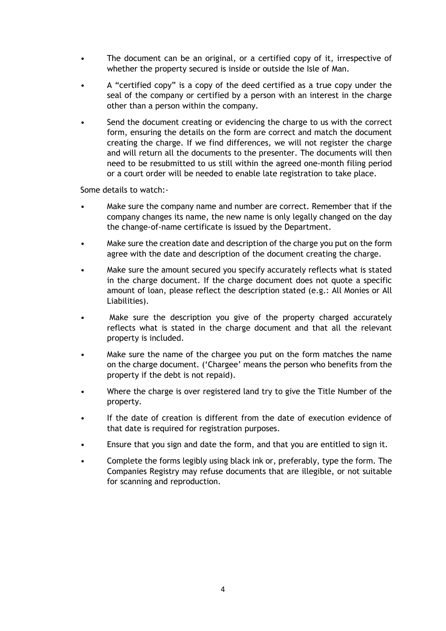- The document can be an original, or a certified copy of it, irrespective of whether the property secured is inside or outside the Isle of Man.
- A "certified copy" is a copy of the deed certified as a true copy under the seal of the company or certified by a person with an interest in the charge other than a person within the company.
- Send the document creating or evidencing the charge to us with the correct form, ensuring the details on the form are correct and match the document creating the charge. If we find differences, we will not register the charge and will return all the documents to the presenter. The documents will then need to be resubmitted to us still within the agreed one-month filing period or a court order will be needed to enable late registration to take place.

Some details to watch:-

- Make sure the company name and number are correct. Remember that if the company changes its name, the new name is only legally changed on the day the change-of-name certificate is issued by the Department.
- Make sure the creation date and description of the charge you put on the form agree with the date and description of the document creating the charge.
- Make sure the amount secured you specify accurately reflects what is stated in the charge document. If the charge document does not quote a specific amount of loan, please reflect the description stated (e.g.: All Monies or All Liabilities).
- Make sure the description you give of the property charged accurately reflects what is stated in the charge document and that all the relevant property is included.
- Make sure the name of the chargee you put on the form matches the name on the charge document. ('Chargee' means the person who benefits from the property if the debt is not repaid).
- Where the charge is over registered land try to give the Title Number of the property.
- If the date of creation is different from the date of execution evidence of that date is required for registration purposes.
- Ensure that you sign and date the form, and that you are entitled to sign it.
- Complete the forms legibly using black ink or, preferably, type the form. The Companies Registry may refuse documents that are illegible, or not suitable for scanning and reproduction.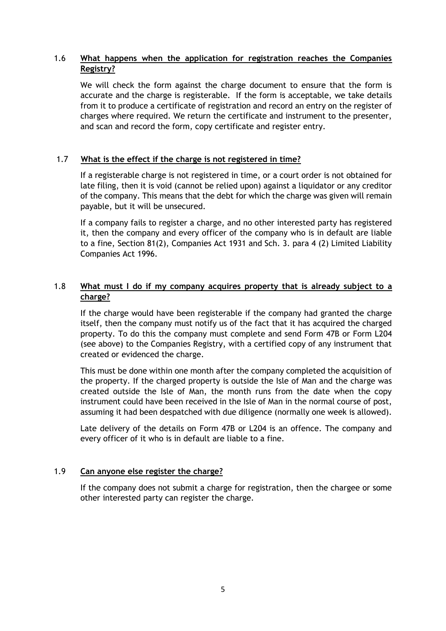# 1.6 **What happens when the application for registration reaches the Companies Registry?**

We will check the form against the charge document to ensure that the form is accurate and the charge is registerable. If the form is acceptable, we take details from it to produce a certificate of registration and record an entry on the register of charges where required. We return the certificate and instrument to the presenter, and scan and record the form, copy certificate and register entry.

## 1.7 **What is the effect if the charge is not registered in time?**

If a registerable charge is not registered in time, or a court order is not obtained for late filing, then it is void (cannot be relied upon) against a liquidator or any creditor of the company. This means that the debt for which the charge was given will remain payable, but it will be unsecured.

If a company fails to register a charge, and no other interested party has registered it, then the company and every officer of the company who is in default are liable to a fine, Section 81(2), Companies Act 1931 and Sch. 3. para 4 (2) Limited Liability Companies Act 1996.

# 1.8 **What must I do if my company acquires property that is already subject to a charge?**

If the charge would have been registerable if the company had granted the charge itself, then the company must notify us of the fact that it has acquired the charged property. To do this the company must complete and send Form 47B or Form L204 (see above) to the Companies Registry, with a certified copy of any instrument that created or evidenced the charge.

This must be done within one month after the company completed the acquisition of the property. If the charged property is outside the Isle of Man and the charge was created outside the Isle of Man, the month runs from the date when the copy instrument could have been received in the Isle of Man in the normal course of post, assuming it had been despatched with due diligence (normally one week is allowed).

Late delivery of the details on Form 47B or L204 is an offence. The company and every officer of it who is in default are liable to a fine.

#### 1.9 **Can anyone else register the charge?**

If the company does not submit a charge for registration, then the chargee or some other interested party can register the charge.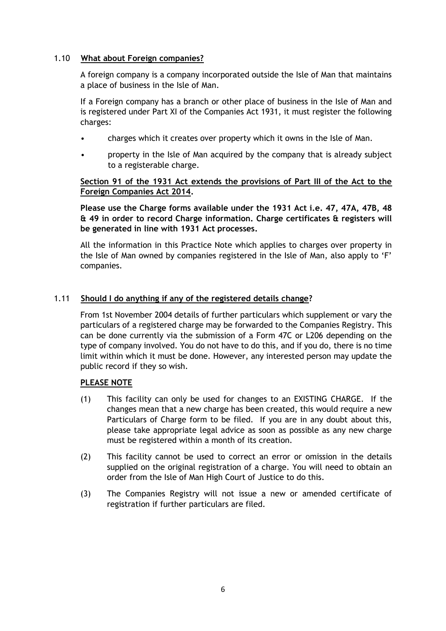## 1.10 **What about Foreign companies?**

A foreign company is a company incorporated outside the Isle of Man that maintains a place of business in the Isle of Man.

If a Foreign company has a branch or other place of business in the Isle of Man and is registered under Part XI of the Companies Act 1931, it must register the following charges:

- charges which it creates over property which it owns in the Isle of Man.
- property in the Isle of Man acquired by the company that is already subject to a registerable charge.

## **Section 91 of the 1931 Act extends the provisions of Part III of the Act to the Foreign Companies Act 2014.**

**Please use the Charge forms available under the 1931 Act i.e. 47, 47A, 47B, 48 & 49 in order to record Charge information. Charge certificates & registers will be generated in line with 1931 Act processes.**

All the information in this Practice Note which applies to charges over property in the Isle of Man owned by companies registered in the Isle of Man, also apply to 'F' companies.

## 1.11 **Should I do anything if any of the registered details change?**

From 1st November 2004 details of further particulars which supplement or vary the particulars of a registered charge may be forwarded to the Companies Registry. This can be done currently via the submission of a Form 47C or L206 depending on the type of company involved. You do not have to do this, and if you do, there is no time limit within which it must be done. However, any interested person may update the public record if they so wish.

#### **PLEASE NOTE**

- (1) This facility can only be used for changes to an EXISTING CHARGE. If the changes mean that a new charge has been created, this would require a new Particulars of Charge form to be filed. If you are in any doubt about this, please take appropriate legal advice as soon as possible as any new charge must be registered within a month of its creation.
- (2) This facility cannot be used to correct an error or omission in the details supplied on the original registration of a charge. You will need to obtain an order from the Isle of Man High Court of Justice to do this.
- (3) The Companies Registry will not issue a new or amended certificate of registration if further particulars are filed.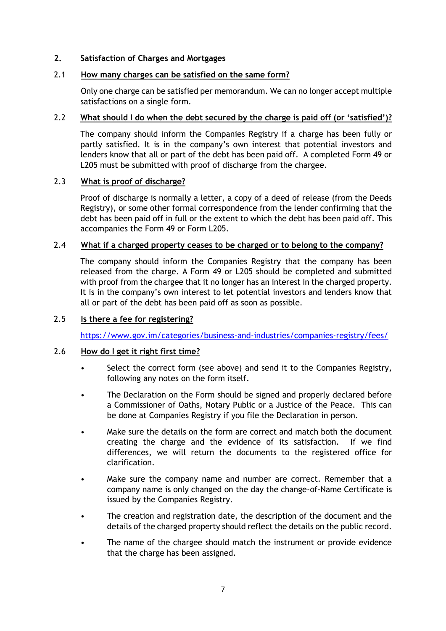## **2. Satisfaction of Charges and Mortgages**

# 2.1 **How many charges can be satisfied on the same form?**

Only one charge can be satisfied per memorandum. We can no longer accept multiple satisfactions on a single form.

## 2.2 **What should I do when the debt secured by the charge is paid off (or 'satisfied')?**

The company should inform the Companies Registry if a charge has been fully or partly satisfied. It is in the company's own interest that potential investors and lenders know that all or part of the debt has been paid off. A completed Form 49 or L205 must be submitted with proof of discharge from the chargee.

## 2.3 **What is proof of discharge?**

Proof of discharge is normally a letter, a copy of a deed of release (from the Deeds Registry), or some other formal correspondence from the lender confirming that the debt has been paid off in full or the extent to which the debt has been paid off. This accompanies the Form 49 or Form L205.

## 2.4 **What if a charged property ceases to be charged or to belong to the company?**

The company should inform the Companies Registry that the company has been released from the charge. A Form 49 or L205 should be completed and submitted with proof from the chargee that it no longer has an interest in the charged property. It is in the company's own interest to let potential investors and lenders know that all or part of the debt has been paid off as soon as possible.

# 2.5 **Is there a fee for registering?**

<https://www.gov.im/categories/business-and-industries/companies-registry/fees/>

## 2.6 **How do I get it right first time?**

- Select the correct form (see above) and send it to the Companies Registry, following any notes on the form itself.
- The Declaration on the Form should be signed and properly declared before a Commissioner of Oaths, Notary Public or a Justice of the Peace. This can be done at Companies Registry if you file the Declaration in person.
- Make sure the details on the form are correct and match both the document creating the charge and the evidence of its satisfaction. If we find differences, we will return the documents to the registered office for clarification.
- Make sure the company name and number are correct. Remember that a company name is only changed on the day the change-of-Name Certificate is issued by the Companies Registry.
- The creation and registration date, the description of the document and the details of the charged property should reflect the details on the public record.
- The name of the chargee should match the instrument or provide evidence that the charge has been assigned.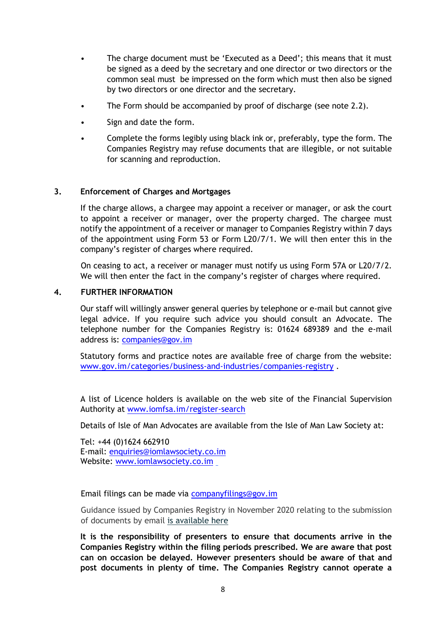- The charge document must be 'Executed as a Deed'; this means that it must be signed as a deed by the secretary and one director or two directors or the common seal must be impressed on the form which must then also be signed by two directors or one director and the secretary.
- The Form should be accompanied by proof of discharge (see note 2.2).
- Sign and date the form.
- Complete the forms legibly using black ink or, preferably, type the form. The Companies Registry may refuse documents that are illegible, or not suitable for scanning and reproduction.

#### **3. Enforcement of Charges and Mortgages**

If the charge allows, a chargee may appoint a receiver or manager, or ask the court to appoint a receiver or manager, over the property charged. The chargee must notify the appointment of a receiver or manager to Companies Registry within 7 days of the appointment using Form 53 or Form L20/7/1. We will then enter this in the company's register of charges where required.

On ceasing to act, a receiver or manager must notify us using Form 57A or L20/7/2. We will then enter the fact in the company's register of charges where required.

#### **4. FURTHER INFORMATION**

Our staff will willingly answer general queries by telephone or e-mail but cannot give legal advice. If you require such advice you should consult an Advocate. The telephone number for the Companies Registry is: 01624 689389 and the e-mail address is: [companies@gov.im](mailto:companies@gov.im)

Statutory forms and practice notes are available free of charge from the website: [www.gov.im/categories/business-and-industries/companies-registry](http://www.gov.im/categories/business-and-industries/companies-registry) .

A list of Licence holders is available on the web site of the Financial Supervision Authority at [www.iomfsa.im/register-search](http://www.iomfsa.im/register-search)

Details of Isle of Man Advocates are available from the Isle of Man Law Society at:

Tel: +44 (0)1624 662910 E-mail: [enquiries@iomlawsociety.co.im](mailto:enquiries@iomlawsociety.co.im) Website: [www.iomlawsociety.co.im](http://www.iomlawsociety.co.im/)

Email filings can be made via [companyfilings@gov.im](mailto:companyfilings@gov.im)

Guidance issued by Companies Registry in November 2020 relating to the submission of documents by email [is available here](https://www.gov.im/media/1371072/companies-registry-electronic-transmission-of-information-guidance.pdf)

**It is the responsibility of presenters to ensure that documents arrive in the Companies Registry within the filing periods prescribed. We are aware that post can on occasion be delayed. However presenters should be aware of that and post documents in plenty of time. The Companies Registry cannot operate a**